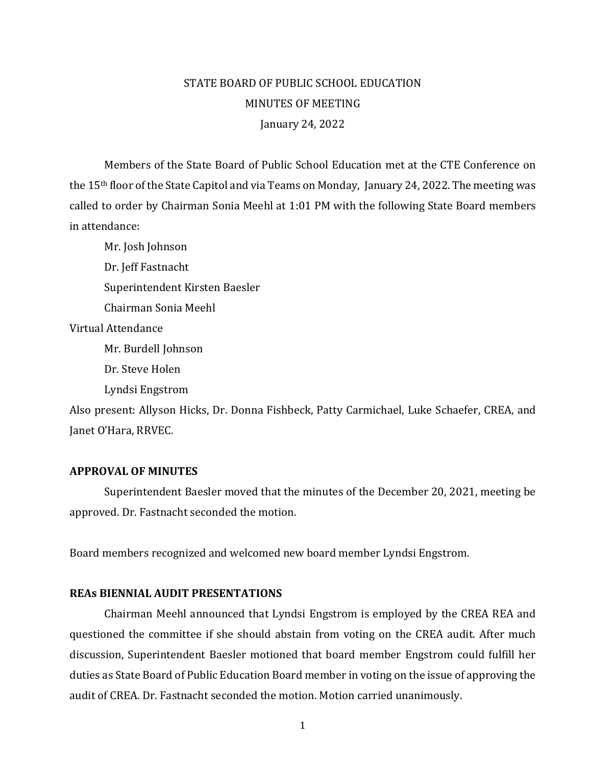# January 24, 2022 STATE BOARD OF PUBLIC SCHOOL EDUCATION MINUTES OF MEETING

 called to order by Chairman Sonia Meehl at 1:01 PM with the following State Board members Members of the State Board of Public School Education met at the CTE Conference on the 15th floor of the State Capitol and via Teams on Monday, January 24, 2022. The meeting was in attendance:

Mr. Josh Johnson Dr. Jeff Fastnacht Superintendent Kirsten Baesler Chairman Sonia Meehl Virtual Attendance Mr. Burdell Johnson Dr. Steve Holen

Lyndsi Engstrom

 Janet O'Hara, RRVEC. Also present: Allyson Hicks, Dr. Donna Fishbeck, Patty Carmichael, Luke Schaefer, CREA, and

### **APPROVAL OF MINUTES**

Superintendent Baesler moved that the minutes of the December 20, 2021, meeting be approved. Dr. Fastnacht seconded the motion.

Board members recognized and welcomed new board member Lyndsi Engstrom.

### **REAs BIENNIAL AUDIT PRESENTATIONS**

Chairman Meehl announced that Lyndsi Engstrom is employed by the CREA REA and questioned the committee if she should abstain from voting on the CREA audit. After much discussion, Superintendent Baesler motioned that board member Engstrom could fulfill her duties as State Board of Public Education Board member in voting on the issue of approving the audit of CREA. Dr. Fastnacht seconded the motion. Motion carried unanimously.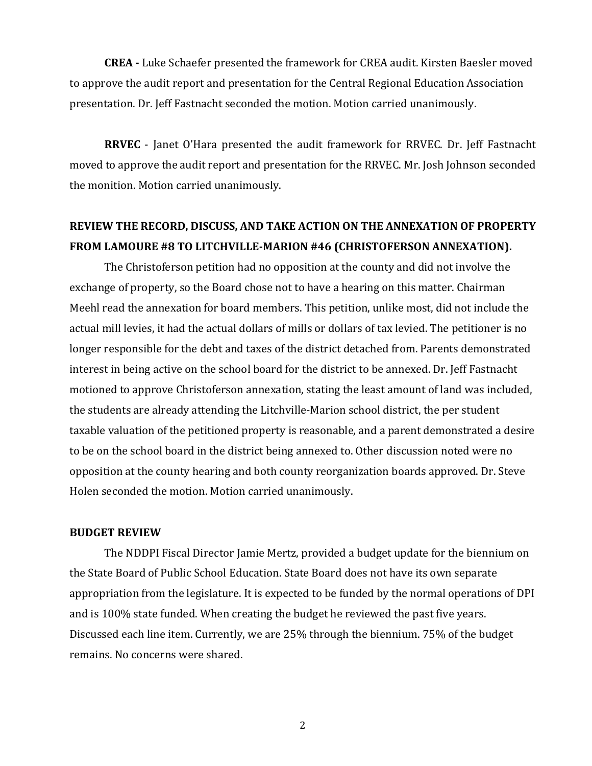presentation. Dr. Jeff Fastnacht seconded the motion. Motion carried unanimously. **CREA -** Luke Schaefer presented the framework for CREA audit. Kirsten Baesler moved to approve the audit report and presentation for the Central Regional Education Association

**RRVEC** - Janet O'Hara presented the audit framework for RRVEC. Dr. Jeff Fastnacht moved to approve the audit report and presentation for the RRVEC. Mr. Josh Johnson seconded the monition. Motion carried unanimously.

## **REVIEW THE RECORD, DISCUSS, AND TAKE ACTION ON THE ANNEXATION OF PROPERTY FROM LAMOURE #8 TO LITCHVILLE-MARION #46 (CHRISTOFERSON ANNEXATION).**

 The Christoferson petition had no opposition at the county and did not involve the Meehl read the annexation for board members. This petition, unlike most, did not include the Holen seconded the motion. Motion carried unanimously. exchange of property, so the Board chose not to have a hearing on this matter. Chairman actual mill levies, it had the actual dollars of mills or dollars of tax levied. The petitioner is no longer responsible for the debt and taxes of the district detached from. Parents demonstrated interest in being active on the school board for the district to be annexed. Dr. Jeff Fastnacht motioned to approve Christoferson annexation, stating the least amount of land was included, the students are already attending the Litchville-Marion school district, the per student taxable valuation of the petitioned property is reasonable, and a parent demonstrated a desire to be on the school board in the district being annexed to. Other discussion noted were no opposition at the county hearing and both county reorganization boards approved. Dr. Steve

### **BUDGET REVIEW**

The NDDPI Fiscal Director Jamie Mertz, provided a budget update for the biennium on the State Board of Public School Education. State Board does not have its own separate appropriation from the legislature. It is expected to be funded by the normal operations of DPI and is 100% state funded. When creating the budget he reviewed the past five years. Discussed each line item. Currently, we are 25% through the biennium. 75% of the budget remains. No concerns were shared.

2